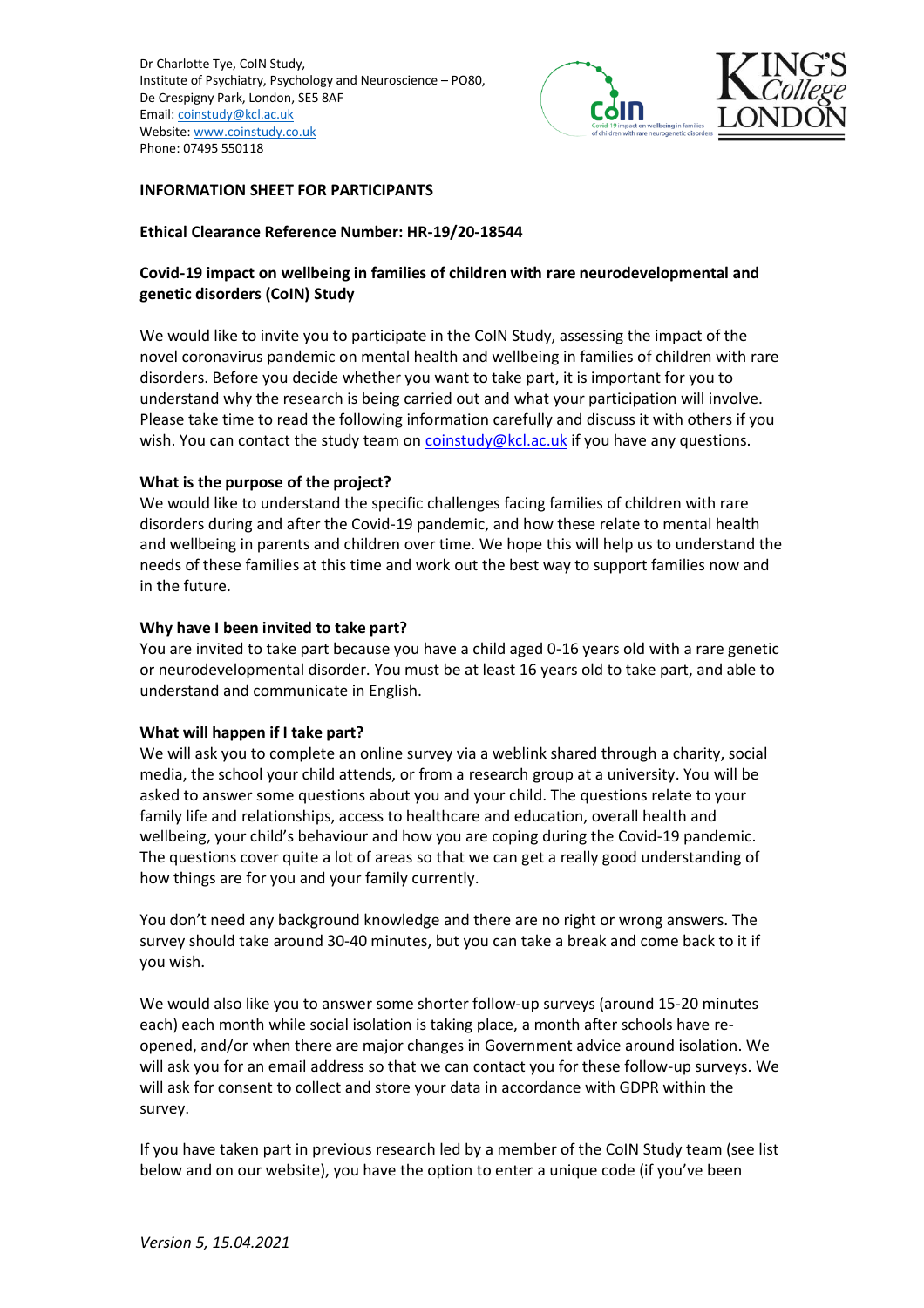

#### **INFORMATION SHEET FOR PARTICIPANTS**

#### **Ethical Clearance Reference Number: HR-19/20-18544**

# **Covid-19 impact on wellbeing in families of children with rare neurodevelopmental and genetic disorders (CoIN) Study**

We would like to invite you to participate in the CoIN Study, assessing the impact of the novel coronavirus pandemic on mental health and wellbeing in families of children with rare disorders. Before you decide whether you want to take part, it is important for you to understand why the research is being carried out and what your participation will involve. Please take time to read the following information carefully and discuss it with others if you wish. You can contact the study team o[n coinstudy@kcl.ac.uk](mailto:coinstudy@kcl.ac.uk) if you have any questions.

#### **What is the purpose of the project?**

We would like to understand the specific challenges facing families of children with rare disorders during and after the Covid-19 pandemic, and how these relate to mental health and wellbeing in parents and children over time. We hope this will help us to understand the needs of these families at this time and work out the best way to support families now and in the future.

#### **Why have I been invited to take part?**

You are invited to take part because you have a child aged 0-16 years old with a rare genetic or neurodevelopmental disorder. You must be at least 16 years old to take part, and able to understand and communicate in English.

## **What will happen if I take part?**

We will ask you to complete an online survey via a weblink shared through a charity, social media, the school your child attends, or from a research group at a university. You will be asked to answer some questions about you and your child. The questions relate to your family life and relationships, access to healthcare and education, overall health and wellbeing, your child's behaviour and how you are coping during the Covid-19 pandemic. The questions cover quite a lot of areas so that we can get a really good understanding of how things are for you and your family currently.

You don't need any background knowledge and there are no right or wrong answers. The survey should take around 30-40 minutes, but you can take a break and come back to it if you wish.

We would also like you to answer some shorter follow-up surveys (around 15-20 minutes each) each month while social isolation is taking place, a month after schools have reopened, and/or when there are major changes in Government advice around isolation. We will ask you for an email address so that we can contact you for these follow-up surveys. We will ask for consent to collect and store your data in accordance with GDPR within the survey.

If you have taken part in previous research led by a member of the CoIN Study team (see list below and on our website), you have the option to enter a unique code (if you've been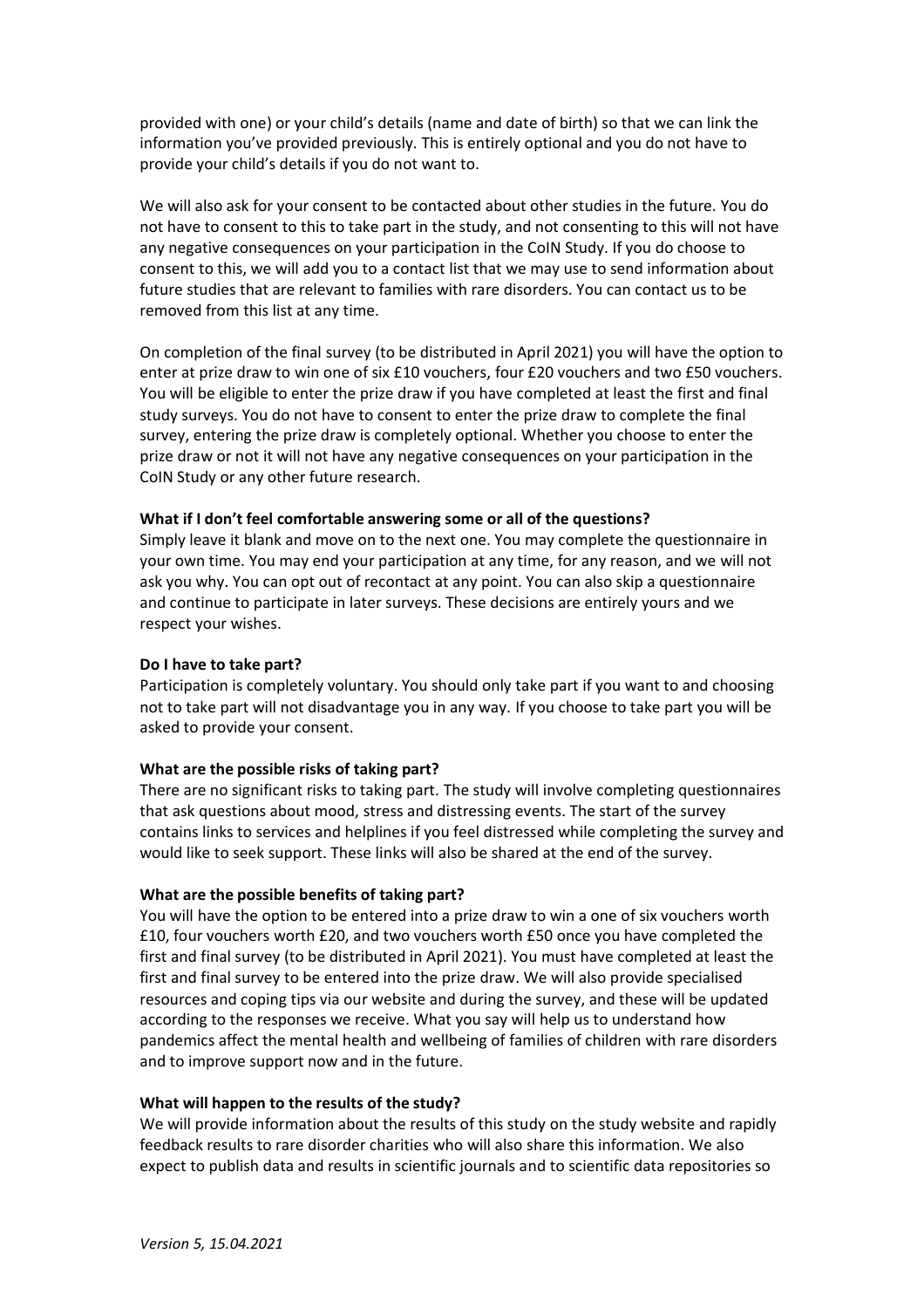provided with one) or your child's details (name and date of birth) so that we can link the information you've provided previously. This is entirely optional and you do not have to provide your child's details if you do not want to.

We will also ask for your consent to be contacted about other studies in the future. You do not have to consent to this to take part in the study, and not consenting to this will not have any negative consequences on your participation in the CoIN Study. If you do choose to consent to this, we will add you to a contact list that we may use to send information about future studies that are relevant to families with rare disorders. You can contact us to be removed from this list at any time.

On completion of the final survey (to be distributed in April 2021) you will have the option to enter at prize draw to win one of six £10 vouchers, four £20 vouchers and two £50 vouchers. You will be eligible to enter the prize draw if you have completed at least the first and final study surveys. You do not have to consent to enter the prize draw to complete the final survey, entering the prize draw is completely optional. Whether you choose to enter the prize draw or not it will not have any negative consequences on your participation in the CoIN Study or any other future research.

#### **What if I don't feel comfortable answering some or all of the questions?**

Simply leave it blank and move on to the next one. You may complete the questionnaire in your own time. You may end your participation at any time, for any reason, and we will not ask you why. You can opt out of recontact at any point. You can also skip a questionnaire and continue to participate in later surveys. These decisions are entirely yours and we respect your wishes.

#### **Do I have to take part?**

Participation is completely voluntary. You should only take part if you want to and choosing not to take part will not disadvantage you in any way. If you choose to take part you will be asked to provide your consent.

#### **What are the possible risks of taking part?**

There are no significant risks to taking part. The study will involve completing questionnaires that ask questions about mood, stress and distressing events. The start of the survey contains links to services and helplines if you feel distressed while completing the survey and would like to seek support. These links will also be shared at the end of the survey.

## **What are the possible benefits of taking part?**

You will have the option to be entered into a prize draw to win a one of six vouchers worth £10, four vouchers worth £20, and two vouchers worth £50 once you have completed the first and final survey (to be distributed in April 2021). You must have completed at least the first and final survey to be entered into the prize draw. We will also provide specialised resources and coping tips via our website and during the survey, and these will be updated according to the responses we receive. What you say will help us to understand how pandemics affect the mental health and wellbeing of families of children with rare disorders and to improve support now and in the future.

#### **What will happen to the results of the study?**

We will provide information about the results of this study on the study website and rapidly feedback results to rare disorder charities who will also share this information. We also expect to publish data and results in scientific journals and to scientific data repositories so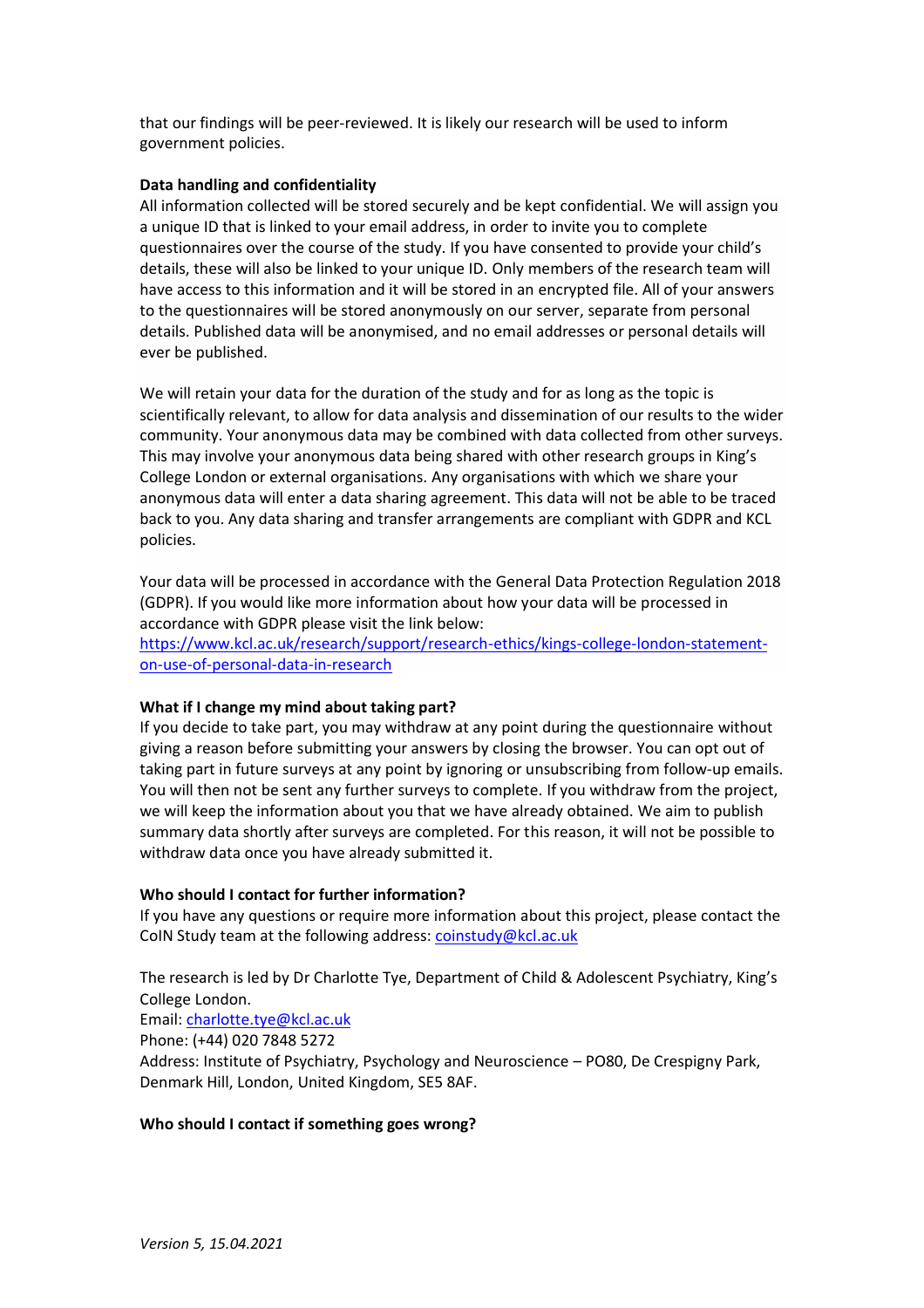that our findings will be peer-reviewed. It is likely our research will be used to inform government policies.

## **Data handling and confidentiality**

All information collected will be stored securely and be kept confidential. We will assign you a unique ID that is linked to your email address, in order to invite you to complete questionnaires over the course of the study. If you have consented to provide your child's details, these will also be linked to your unique ID. Only members of the research team will have access to this information and it will be stored in an encrypted file. All of your answers to the questionnaires will be stored anonymously on our server, separate from personal details. Published data will be anonymised, and no email addresses or personal details will ever be published.

We will retain your data for the duration of the study and for as long as the topic is scientifically relevant, to allow for data analysis and dissemination of our results to the wider community. Your anonymous data may be combined with data collected from other surveys. This may involve your anonymous data being shared with other research groups in King's College London or external organisations. Any organisations with which we share your anonymous data will enter a data sharing agreement. This data will not be able to be traced back to you. Any data sharing and transfer arrangements are compliant with GDPR and KCL policies.

Your data will be processed in accordance with the General Data Protection Regulation 2018 (GDPR). If you would like more information about how your data will be processed in accordance with GDPR please visit the link below:

[https://www.kcl.ac.uk/research/support/research-ethics/kings-college-london-statement](https://www.kcl.ac.uk/research/support/research-ethics/kings-college-london-statement-on-use-of-personal-data-in-research)[on-use-of-personal-data-in-research](https://www.kcl.ac.uk/research/support/research-ethics/kings-college-london-statement-on-use-of-personal-data-in-research)

## **What if I change my mind about taking part?**

If you decide to take part, you may withdraw at any point during the questionnaire without giving a reason before submitting your answers by closing the browser. You can opt out of taking part in future surveys at any point by ignoring or unsubscribing from follow-up emails. You will then not be sent any further surveys to complete. If you withdraw from the project, we will keep the information about you that we have already obtained. We aim to publish summary data shortly after surveys are completed. For this reason, it will not be possible to withdraw data once you have already submitted it.

## **Who should I contact for further information?**

If you have any questions or require more information about this project, please contact the CoIN Study team at the following address: [coinstudy@kcl.ac.uk](mailto:coinstudy@kcl.ac.uk)

The research is led by Dr Charlotte Tye, Department of Child & Adolescent Psychiatry, King's College London.

## Email: [charlotte.tye@kcl.ac.uk](mailto:charlotte.tye@kcl.ac.uk)

Phone: (+44) 020 7848 5272

Address: Institute of Psychiatry, Psychology and Neuroscience – PO80, De Crespigny Park, Denmark Hill, London, United Kingdom, SE5 8AF.

## **Who should I contact if something goes wrong?**